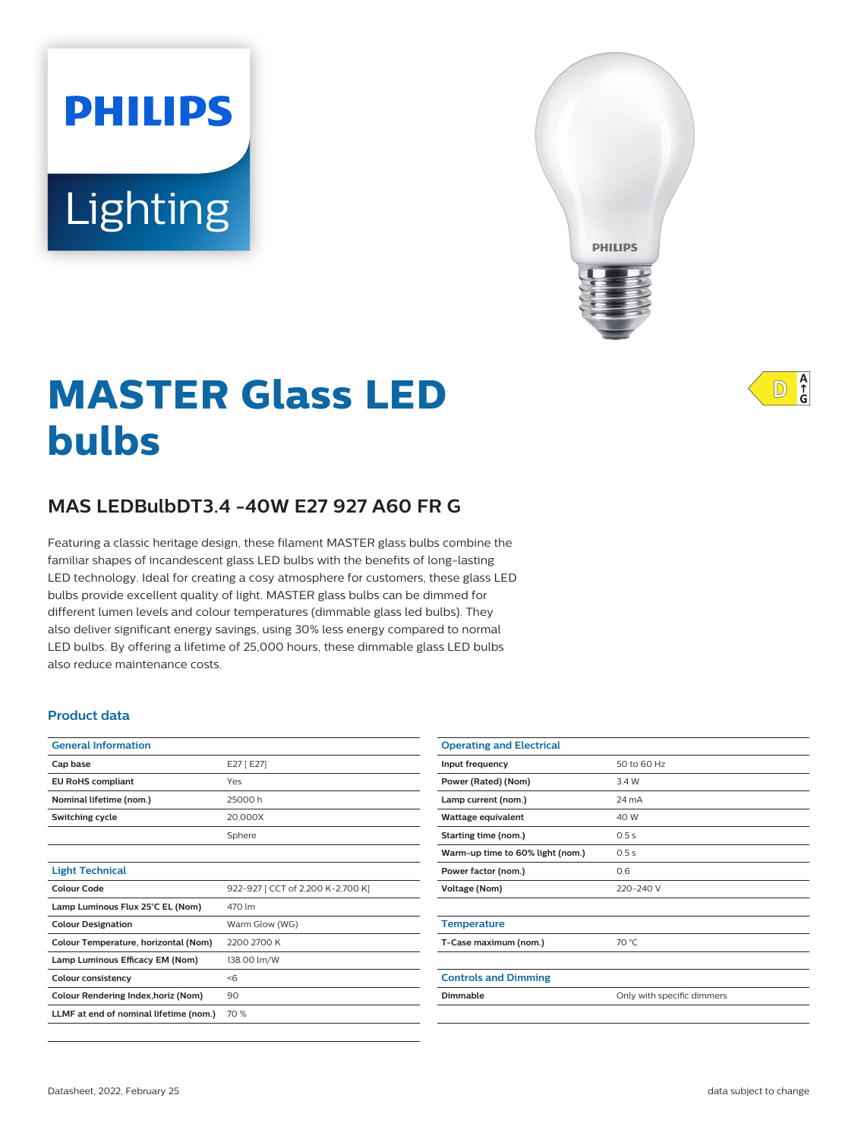# **PHILIPS** Lighting



# **MASTER Glass LED bulbs**

# **MAS LEDBulbDT3.4 -40W E27 927 A60 FR G**

Featuring a classic heritage design, these filament MASTER glass bulbs combine the familiar shapes of incandescent glass LED bulbs with the benefits of long-lasting LED technology. Ideal for creating a cosy atmosphere for customers, these glass LED bulbs provide excellent quality of light. MASTER glass bulbs can be dimmed for different lumen levels and colour temperatures (dimmable glass led bulbs). They also deliver significant energy savings, using 30% less energy compared to normal LED bulbs. By offering a lifetime of 25,000 hours, these dimmable glass LED bulbs also reduce maintenance costs.

#### **Product data**

| <b>General Information</b>             |                                   |  |
|----------------------------------------|-----------------------------------|--|
| Cap base                               | E27 [E27]                         |  |
| <b>EU RoHS compliant</b>               | Yes                               |  |
| Nominal lifetime (nom.)                | 25000 h                           |  |
| Switching cycle                        | 20.000X                           |  |
|                                        | Sphere                            |  |
|                                        |                                   |  |
| <b>Light Technical</b>                 |                                   |  |
| <b>Colour Code</b>                     | 922-927 [ CCT of 2,200 K-2,700 K] |  |
| Lamp Luminous Flux 25°C EL (Nom)       | 470 lm                            |  |
| <b>Colour Designation</b>              | Warm Glow (WG)                    |  |
| Colour Temperature, horizontal (Nom)   | 2200 2700 K                       |  |
| Lamp Luminous Efficacy EM (Nom)        | 138.00 lm/W                       |  |
| <b>Colour consistency</b>              | $<$ 6                             |  |
| Colour Rendering Index, horiz (Nom)    | 90                                |  |
| LLMF at end of nominal lifetime (nom.) | 70 %                              |  |

| <b>Operating and Electrical</b>  |                            |  |
|----------------------------------|----------------------------|--|
| Input frequency                  | 50 to 60 Hz                |  |
| Power (Rated) (Nom)              | 3.4 W                      |  |
| Lamp current (nom.)              | 24 mA                      |  |
| Wattage equivalent               | 40 W                       |  |
| Starting time (nom.)             | 0.5s                       |  |
| Warm-up time to 60% light (nom.) | 0.5s                       |  |
| Power factor (nom.)              | 0.6                        |  |
| Voltage (Nom)                    | 220-240 V                  |  |
|                                  |                            |  |
| <b>Temperature</b>               |                            |  |
| T-Case maximum (nom.)            | 70 °C                      |  |
|                                  |                            |  |
| <b>Controls and Dimming</b>      |                            |  |
| Dimmable                         | Only with specific dimmers |  |
|                                  |                            |  |

 $A$ <sub>G</sub>  $\mathbb{D}$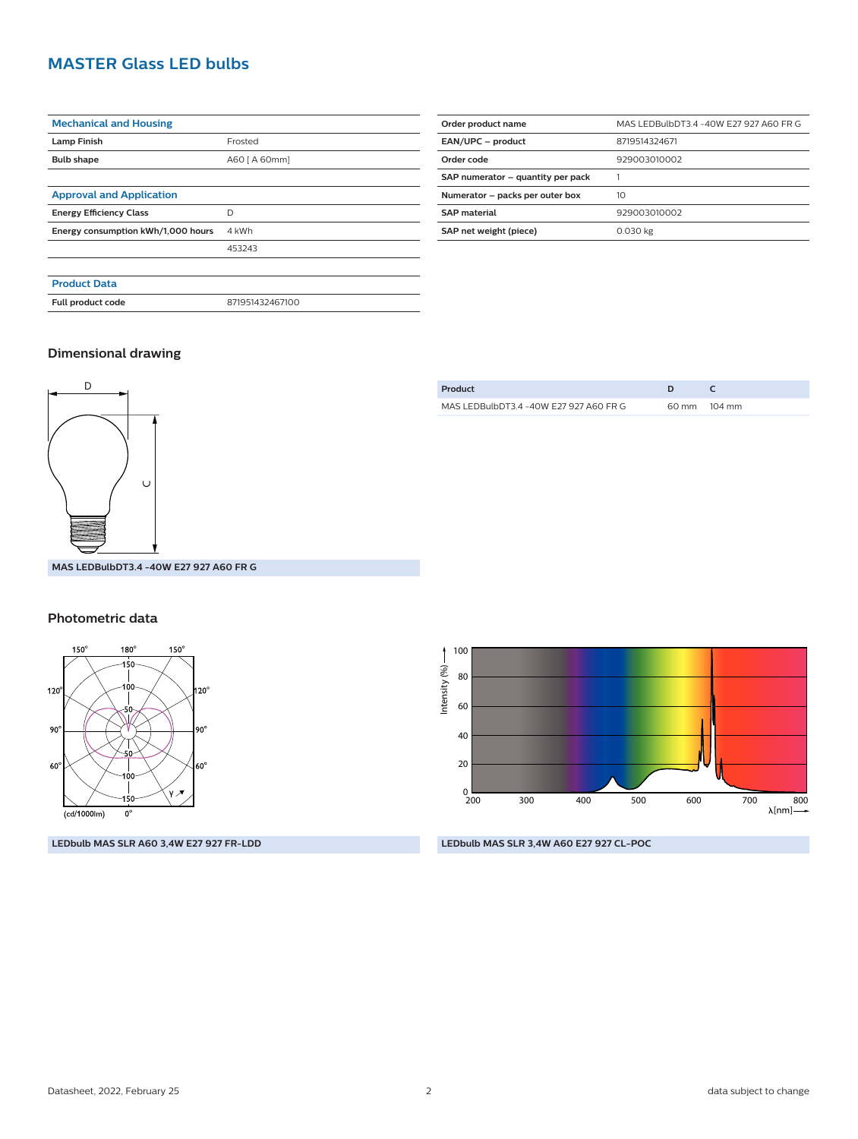## **MASTER Glass LED bulbs**

| <b>Mechanical and Housing</b>      |                 |
|------------------------------------|-----------------|
| <b>Lamp Finish</b>                 | Frosted         |
| <b>Bulb shape</b>                  | A60 [ A 60mm]   |
|                                    |                 |
| <b>Approval and Application</b>    |                 |
| <b>Energy Efficiency Class</b>     | D               |
| Energy consumption kWh/1,000 hours | 4 kWh           |
|                                    | 453243          |
|                                    |                 |
| <b>Product Data</b>                |                 |
| Full product code                  | 871951432467100 |
|                                    |                 |

| Order product name                | MAS LEDBulbDT3.4 -40W E27 927 A60 FR G |  |
|-----------------------------------|----------------------------------------|--|
| EAN/UPC - product                 | 8719514324671                          |  |
| Order code                        | 929003010002                           |  |
| SAP numerator - quantity per pack |                                        |  |
| Numerator - packs per outer box   | 10                                     |  |
| <b>SAP</b> material               | 929003010002                           |  |
| SAP net weight (piece)            | 0.030 kg                               |  |

#### **Dimensional drawing**



| MAS LEDBulbDT3 4 -40W E27 927 A60 FR G | 60 mm 104 mm |
|----------------------------------------|--------------|
|                                        |              |

**Product D C**

#### **Photometric data**



**LEDbulb MAS SLR A60 3,4W E27 927 FR-LDD**

100 Intensity (%)-Intensity (%) 80 60 40 20  $0\frac{1}{200}$ 200 300 400 500 600 700 800 [nm]